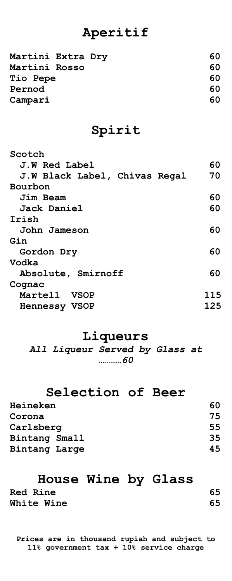# **Aperitif**

| Martini Extra Dry | 60 |
|-------------------|----|
| Martini Rosso     | 60 |
| Tio Pepe          | 60 |
| Pernod            | 60 |
| Campari           | 60 |
|                   |    |

# **Spirit**

| Scotch                        |     |
|-------------------------------|-----|
| J.W Red Label                 | 60  |
| J.W Black Label, Chivas Regal | 70  |
| Bourbon                       |     |
| Jim Beam                      | 60  |
| <b>Jack Daniel</b>            | 60  |
| Irish                         |     |
| John Jameson                  | 60  |
| Gin                           |     |
| Gordon Dry                    | 60  |
| Vodka                         |     |
| Absolute, Smirnoff            | 60  |
| Cognac                        |     |
| Martell VSOP                  | 115 |
| <b>Hennessy VSOP</b>          | 125 |
|                               |     |

# **Liqueurs**

*All Liqueur Served by Glass at …………60*

# **Selection of Beer**

| 60 |
|----|
| 75 |
| 55 |
| 35 |
| 45 |
|    |

# **House Wine by Glass**

| <b>Red Rine</b>   | 65 |
|-------------------|----|
| <b>White Wine</b> | 65 |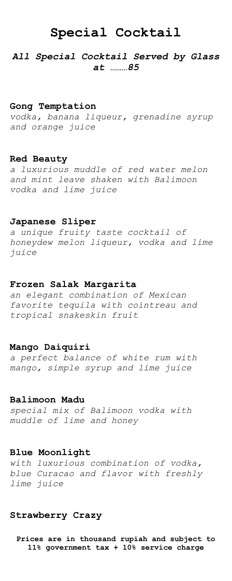# **Special Cocktail**

## *All Special Cocktail Served by Glass at ………85*

### **Gong Temptation**

*vodka, banana liqueur, grenadine syrup and orange juice*

### **Red Beauty**

*a luxurious muddle of red water melon and mint leave shaken with Balimoon vodka and lime juice*

## **Japanese Sliper**

*a unique fruity taste cocktail of honeydew melon liqueur, vodka and lime juice*

## **Frozen Salak Margarita**

*an elegant combination of Mexican favorite tequila with cointreau and tropical snakeskin fruit*

## **Mango Daiquiri**

*a perfect balance of white rum with mango, simple syrup and lime juice*

### **Balimoon Madu**

*special mix of Balimoon vodka with muddle of lime and honey*

## **Blue Moonlight**

*with luxurious combination of vodka, blue Curacao and flavor with freshly lime juice*

## **Strawberry Crazy**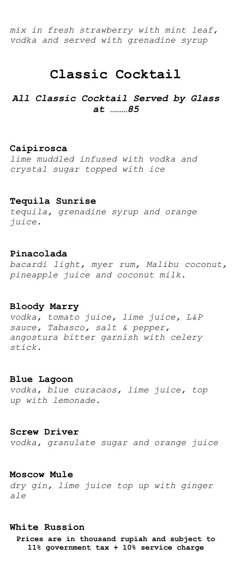*mix in fresh strawberry with mint leaf, vodka and served with grenadine syrup* 

## **Classic Cocktail**

*All Classic Cocktail Served by Glass at ………85*

## **Caipirosca**

*lime muddled infused with vodka and crystal sugar topped with ice*

## **Tequila Sunrise**

*tequila, grenadine syrup and orange juice.*

## **Pinacolada**

*bacardi light, myer rum, Malibu coconut, pineapple juice and coconut milk.*

## **Bloody Marry**

*vodka, tomato juice, lime juice, L&P sauce, Tabasco, salt & pepper, angostura bitter garnish with celery stick.*

## **Blue Lagoon**

*vodka, blue curacaos, lime juice, top up with lemonade.*

## **Screw Driver**

*vodka, granulate sugar and orange juice*

### **Moscow Mule**

*dry gin, lime juice top up with ginger ale*

### **White Russion**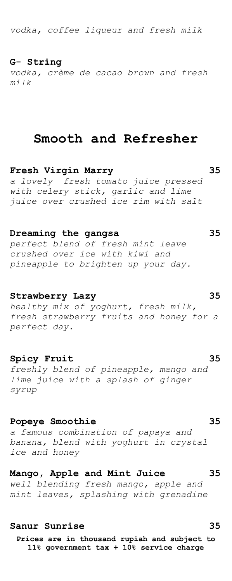*vodka, coffee liqueur and fresh milk*

## **G- String**

*vodka, crème de cacao brown and fresh milk*

## **Smooth and Refresher**

**Fresh Virgin Marry 35**

*a lovely fresh tomato juice pressed with celery stick, garlic and lime juice over crushed ice rim with salt*

## **Dreaming the gangsa 35**

*perfect blend of fresh mint leave crushed over ice with kiwi and pineapple to brighten up your day.*

## **Strawberry Lazy 35**

*healthy mix of yoghurt, fresh milk, fresh strawberry fruits and honey for a perfect day.*

## **Spicy Fruit 35**

*freshly blend of pineapple, mango and lime juice with a splash of ginger syrup* 

## **Popeye Smoothie 35**

*a famous combination of papaya and banana, blend with yoghurt in crystal ice and honey*

## **Mango, Apple and Mint Juice 35**

*well blending fresh mango, apple and mint leaves, splashing with grenadine*

## **Sanur Sunrise 35**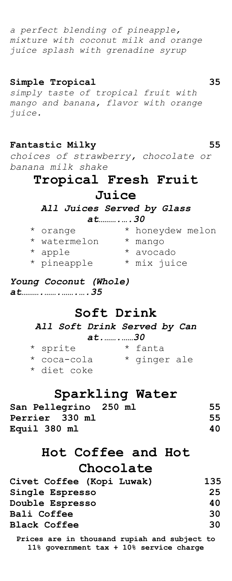*a perfect blending of pineapple, mixture with coconut milk and orange juice splash with grenadine syrup*

## **Simple Tropical 35**

*simply taste of tropical fruit with mango and banana, flavor with orange juice.* 

## **Fantastic Milky 55**

*choices of strawberry, chocolate or banana milk shake*

## **Tropical Fresh Fruit**

## **Juice**

*All Juices Served by Glass* 

*at……….….30*

| * orange     | * honeydew melon |
|--------------|------------------|
| * watermelon | * mango          |
| * apple      | * avocado        |
| * pineapple  | * mix juice      |

## *Young Coconut (Whole) at……….…….…….….35*

## **Soft Drink**

*All Soft Drink Served by Can at.…….……30*

| * sprite    |  | * fanta      |  |
|-------------|--|--------------|--|
| * coca-cola |  | * ginger ale |  |
| * diet coke |  |              |  |

# **Sparkling Water**

| San Pellegrino 250 ml | 55 |
|-----------------------|----|
| Perrier 330 ml        | 55 |
| Equil 380 ml          | 40 |

# **Hot Coffee and Hot Chocolate**

| Civet Coffee (Kopi Luwak) | 135 |
|---------------------------|-----|
| Single Espresso           | 25  |
| Double Espresso           | 40  |
| Bali Coffee               | 30  |
| <b>Black Coffee</b>       | 30. |